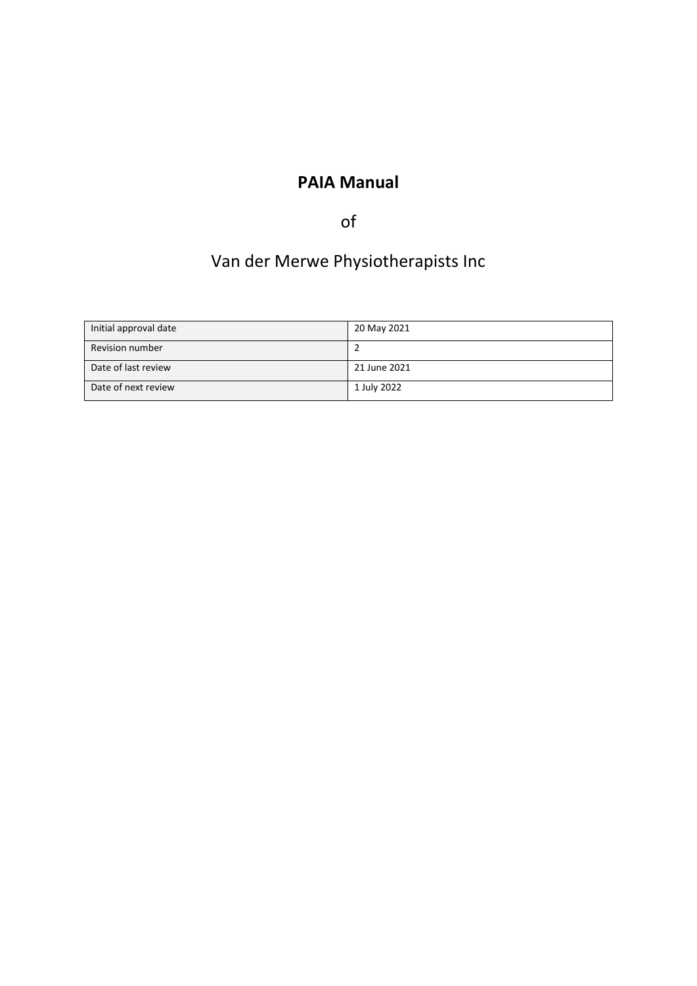## **PAIA Manual**

## of

# Van der Merwe Physiotherapists Inc

| Initial approval date  | 20 May 2021  |
|------------------------|--------------|
| <b>Revision number</b> |              |
| Date of last review    | 21 June 2021 |
| Date of next review    | 1 July 2022  |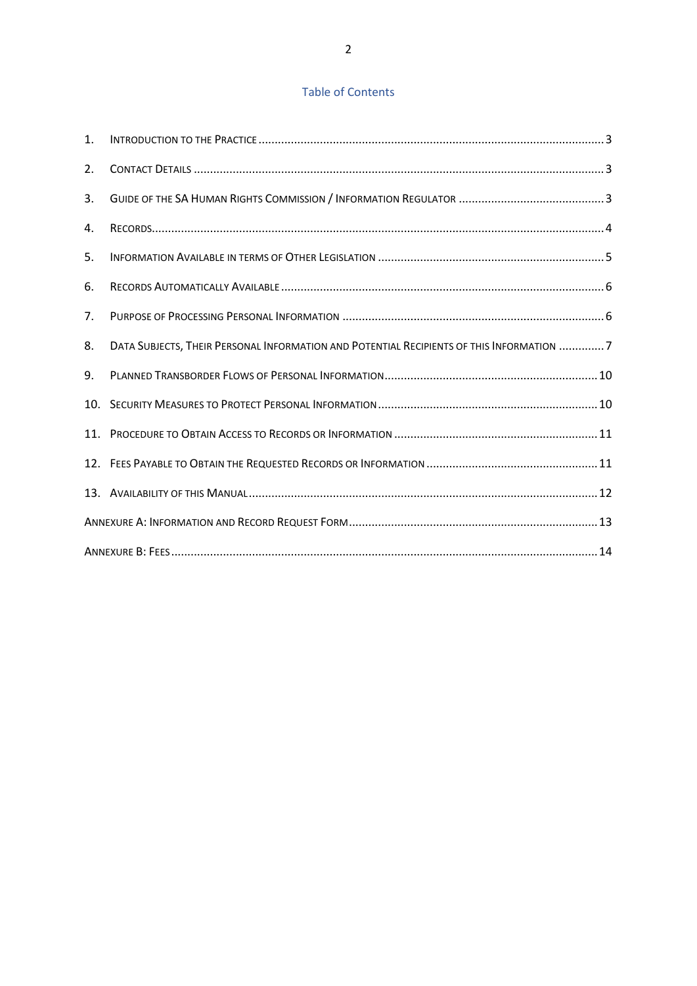## Table of Contents

| 1.  |                                                                                          |  |  |
|-----|------------------------------------------------------------------------------------------|--|--|
| 2.  |                                                                                          |  |  |
| 3.  |                                                                                          |  |  |
| 4.  |                                                                                          |  |  |
| 5.  |                                                                                          |  |  |
| 6.  |                                                                                          |  |  |
| 7.  |                                                                                          |  |  |
| 8.  | DATA SUBJECTS, THEIR PERSONAL INFORMATION AND POTENTIAL RECIPIENTS OF THIS INFORMATION 7 |  |  |
| 9.  |                                                                                          |  |  |
|     |                                                                                          |  |  |
| 11. |                                                                                          |  |  |
|     |                                                                                          |  |  |
|     |                                                                                          |  |  |
|     |                                                                                          |  |  |
|     |                                                                                          |  |  |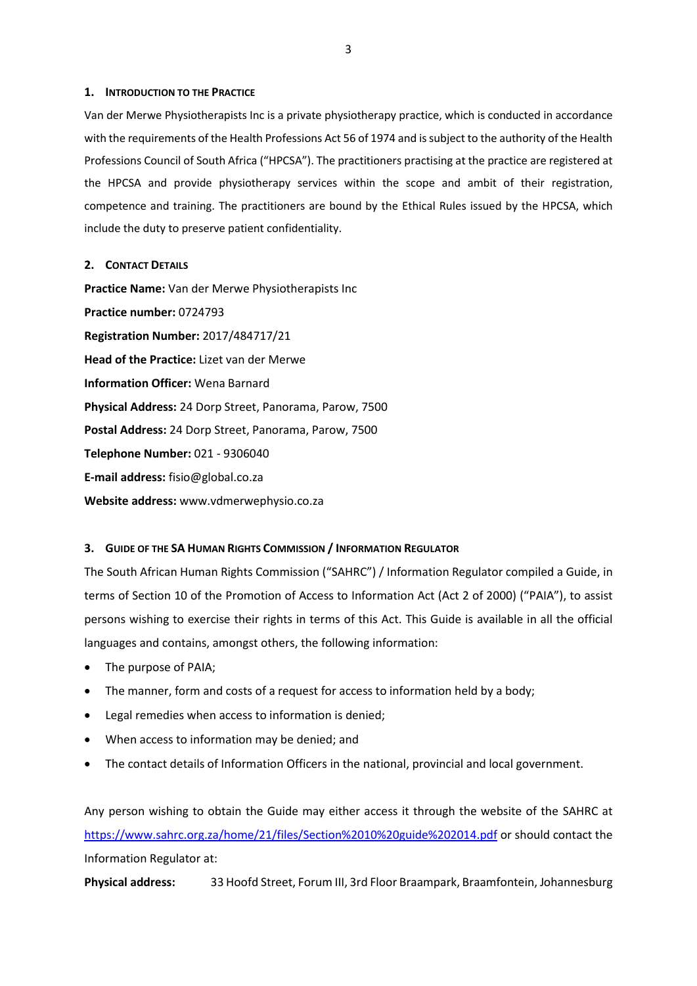#### <span id="page-2-0"></span>**1. INTRODUCTION TO THE PRACTICE**

Van der Merwe Physiotherapists Inc is a private physiotherapy practice, which is conducted in accordance with the requirements of the Health Professions Act 56 of 1974 and is subject to the authority of the Health Professions Council of South Africa ("HPCSA"). The practitioners practising at the practice are registered at the HPCSA and provide physiotherapy services within the scope and ambit of their registration, competence and training. The practitioners are bound by the Ethical Rules issued by the HPCSA, which include the duty to preserve patient confidentiality.

#### <span id="page-2-1"></span>**2. CONTACT DETAILS**

**Practice Name:** Van der Merwe Physiotherapists Inc **Practice number:** 0724793 **Registration Number:** 2017/484717/21 **Head of the Practice:** Lizet van der Merwe **Information Officer:** Wena Barnard **Physical Address:** 24 Dorp Street, Panorama, Parow, 7500 **Postal Address:** 24 Dorp Street, Panorama, Parow, 7500 **Telephone Number:** 021 - 9306040 **E-mail address:** fisio@global.co.za **Website address:** www.vdmerwephysio.co.za

## <span id="page-2-2"></span>**3. GUIDE OF THE SA HUMAN RIGHTS COMMISSION / INFORMATION REGULATOR**

The South African Human Rights Commission ("SAHRC") / Information Regulator compiled a Guide, in terms of Section 10 of the Promotion of Access to Information Act (Act 2 of 2000) ("PAIA"), to assist persons wishing to exercise their rights in terms of this Act. This Guide is available in all the official languages and contains, amongst others, the following information:

- The purpose of PAIA;
- The manner, form and costs of a request for access to information held by a body;
- Legal remedies when access to information is denied;
- When access to information may be denied; and
- The contact details of Information Officers in the national, provincial and local government.

Any person wishing to obtain the Guide may either access it through the website of the SAHRC at <https://www.sahrc.org.za/home/21/files/Section%2010%20guide%202014.pdf> or should contact the Information Regulator at:

**Physical address:** 33 Hoofd Street, Forum III, 3rd Floor Braampark, Braamfontein, Johannesburg

3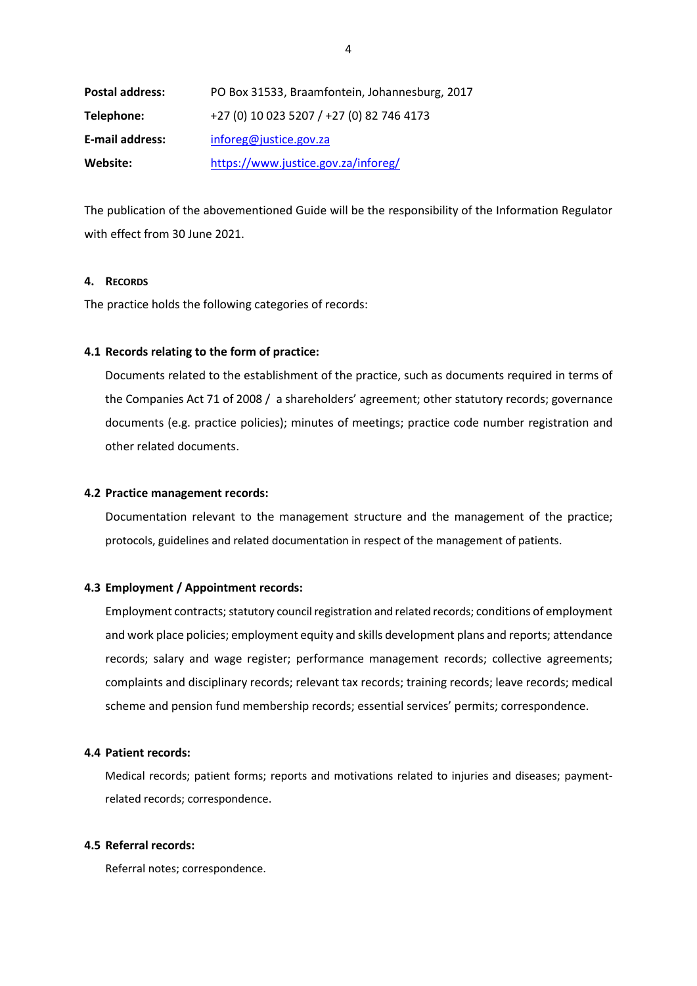| <b>Postal address:</b> | PO Box 31533, Braamfontein, Johannesburg, 2017 |
|------------------------|------------------------------------------------|
| Telephone:             | +27 (0) 10 023 5207 / +27 (0) 82 746 4173      |
| <b>E-mail address:</b> | inforeg@justice.gov.za                         |
| Website:               | https://www.justice.gov.za/inforeg/            |

The publication of the abovementioned Guide will be the responsibility of the Information Regulator with effect from 30 June 2021.

## <span id="page-3-0"></span>**4. RECORDS**

The practice holds the following categories of records:

## **4.1 Records relating to the form of practice:**

Documents related to the establishment of the practice, such as documents required in terms of the Companies Act 71 of 2008 / a shareholders' agreement; other statutory records; governance documents (e.g. practice policies); minutes of meetings; practice code number registration and other related documents.

#### **4.2 Practice management records:**

Documentation relevant to the management structure and the management of the practice; protocols, guidelines and related documentation in respect of the management of patients.

#### **4.3 Employment / Appointment records:**

Employment contracts; statutory council registration and related records; conditions of employment and work place policies; employment equity and skills development plans and reports; attendance records; salary and wage register; performance management records; collective agreements; complaints and disciplinary records; relevant tax records; training records; leave records; medical scheme and pension fund membership records; essential services' permits; correspondence.

#### **4.4 Patient records:**

Medical records; patient forms; reports and motivations related to injuries and diseases; paymentrelated records; correspondence.

#### **4.5 Referral records:**

Referral notes; correspondence.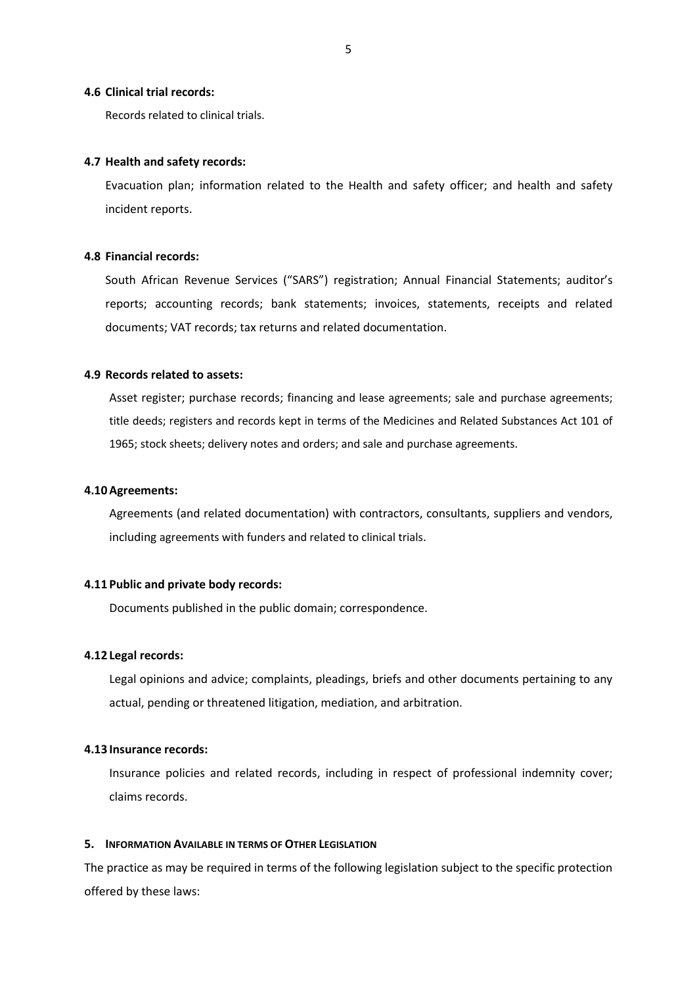#### **4.6 Clinical trial records:**

Records related to clinical trials.

## **4.7 Health and safety records:**

Evacuation plan; information related to the Health and safety officer; and health and safety incident reports.

#### **4.8 Financial records:**

South African Revenue Services ("SARS") registration; Annual Financial Statements; auditor's reports; accounting records; bank statements; invoices, statements, receipts and related documents; VAT records; tax returns and related documentation.

#### **4.9 Records related to assets:**

Asset register; purchase records; financing and lease agreements; sale and purchase agreements; title deeds; registers and records kept in terms of the Medicines and Related Substances Act 101 of 1965; stock sheets; delivery notes and orders; and sale and purchase agreements.

#### **4.10Agreements:**

Agreements (and related documentation) with contractors, consultants, suppliers and vendors, including agreements with funders and related to clinical trials.

#### **4.11 Public and private body records:**

Documents published in the public domain; correspondence.

#### **4.12 Legal records:**

Legal opinions and advice; complaints, pleadings, briefs and other documents pertaining to any actual, pending or threatened litigation, mediation, and arbitration.

## **4.13 Insurance records:**

Insurance policies and related records, including in respect of professional indemnity cover; claims records.

#### <span id="page-4-0"></span>**5. INFORMATION AVAILABLE IN TERMS OF OTHER LEGISLATION**

The practice as may be required in terms of the following legislation subject to the specific protection offered by these laws: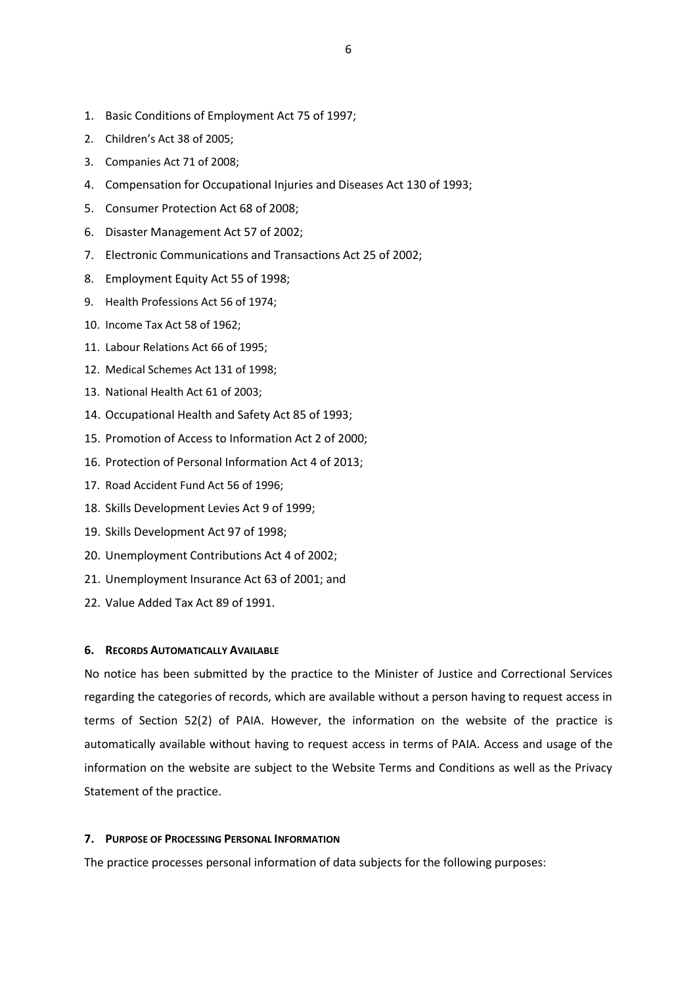- 1. Basic Conditions of Employment Act 75 of 1997;
- 2. Children's Act 38 of 2005;
- 3. Companies Act 71 of 2008;
- 4. Compensation for Occupational Injuries and Diseases Act 130 of 1993;
- 5. Consumer Protection Act 68 of 2008;
- 6. Disaster Management Act 57 of 2002;
- 7. Electronic Communications and Transactions Act 25 of 2002;
- 8. Employment Equity Act 55 of 1998;
- 9. Health Professions Act 56 of 1974;
- 10. Income Tax Act 58 of 1962;
- 11. Labour Relations Act 66 of 1995;
- 12. Medical Schemes Act 131 of 1998;
- 13. National Health Act 61 of 2003;
- 14. Occupational Health and Safety Act 85 of 1993;
- 15. Promotion of Access to Information Act 2 of 2000;
- 16. Protection of Personal Information Act 4 of 2013;
- 17. Road Accident Fund Act 56 of 1996;
- 18. Skills Development Levies Act 9 of 1999;
- 19. Skills Development Act 97 of 1998;
- 20. Unemployment Contributions Act 4 of 2002;
- 21. Unemployment Insurance Act 63 of 2001; and
- 22. Value Added Tax Act 89 of 1991.

#### <span id="page-5-0"></span>**6. RECORDS AUTOMATICALLY AVAILABLE**

No notice has been submitted by the practice to the Minister of Justice and Correctional Services regarding the categories of records, which are available without a person having to request access in terms of Section 52(2) of PAIA. However, the information on the website of the practice is automatically available without having to request access in terms of PAIA. Access and usage of the information on the website are subject to the Website Terms and Conditions as well as the Privacy Statement of the practice.

#### <span id="page-5-1"></span>**7. PURPOSE OF PROCESSING PERSONAL INFORMATION**

The practice processes personal information of data subjects for the following purposes: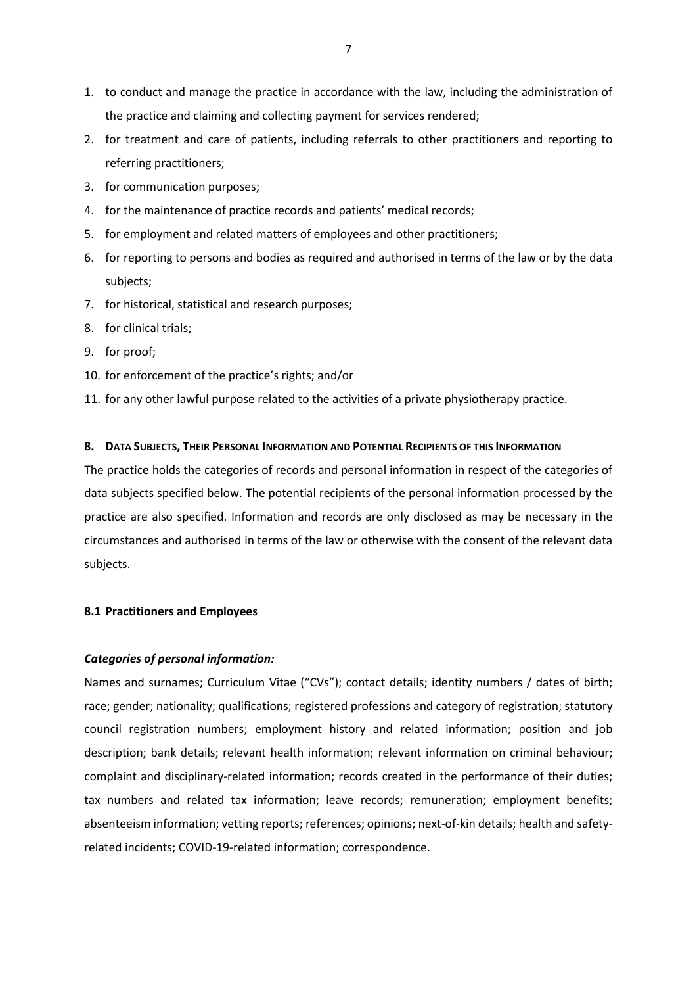- 1. to conduct and manage the practice in accordance with the law, including the administration of the practice and claiming and collecting payment for services rendered;
- 2. for treatment and care of patients, including referrals to other practitioners and reporting to referring practitioners;
- 3. for communication purposes;
- 4. for the maintenance of practice records and patients' medical records;
- 5. for employment and related matters of employees and other practitioners;
- 6. for reporting to persons and bodies as required and authorised in terms of the law or by the data subjects;
- 7. for historical, statistical and research purposes;
- 8. for clinical trials;
- 9. for proof;
- 10. for enforcement of the practice's rights; and/or
- 11. for any other lawful purpose related to the activities of a private physiotherapy practice.

#### <span id="page-6-0"></span>**8. DATA SUBJECTS, THEIR PERSONAL INFORMATION AND POTENTIAL RECIPIENTS OF THIS INFORMATION**

The practice holds the categories of records and personal information in respect of the categories of data subjects specified below. The potential recipients of the personal information processed by the practice are also specified. Information and records are only disclosed as may be necessary in the circumstances and authorised in terms of the law or otherwise with the consent of the relevant data subjects.

## **8.1 Practitioners and Employees**

#### *Categories of personal information:*

Names and surnames; Curriculum Vitae ("CVs"); contact details; identity numbers / dates of birth; race; gender; nationality; qualifications; registered professions and category of registration; statutory council registration numbers; employment history and related information; position and job description; bank details; relevant health information; relevant information on criminal behaviour; complaint and disciplinary-related information; records created in the performance of their duties; tax numbers and related tax information; leave records; remuneration; employment benefits; absenteeism information; vetting reports; references; opinions; next-of-kin details; health and safetyrelated incidents; COVID-19-related information; correspondence.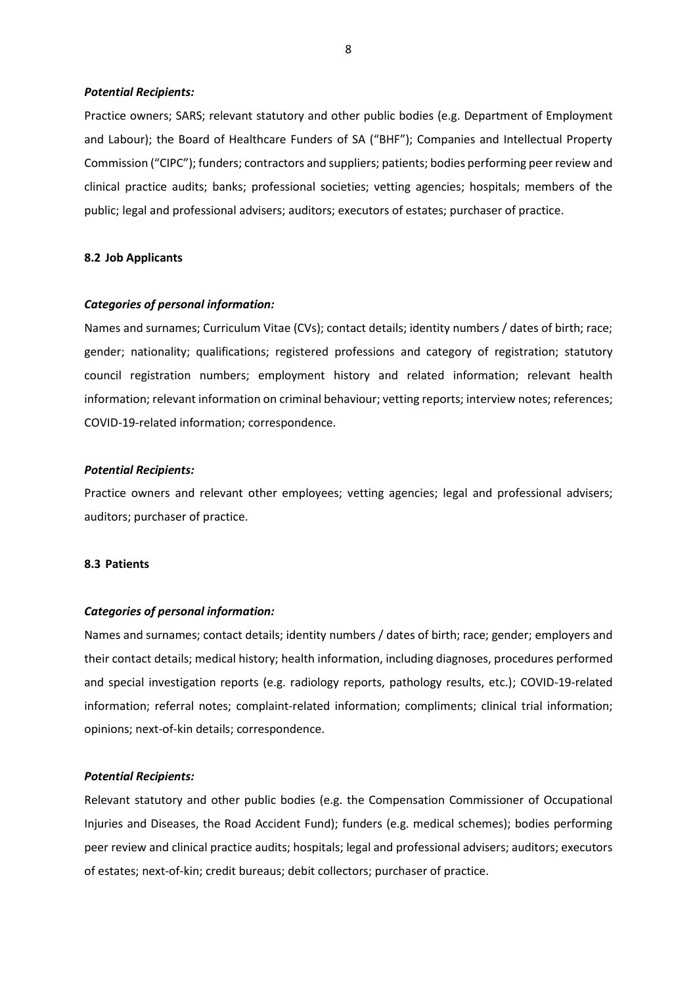#### *Potential Recipients:*

Practice owners; SARS; relevant statutory and other public bodies (e.g. Department of Employment and Labour); the Board of Healthcare Funders of SA ("BHF"); Companies and Intellectual Property Commission ("CIPC"); funders; contractors and suppliers; patients; bodies performing peer review and clinical practice audits; banks; professional societies; vetting agencies; hospitals; members of the public; legal and professional advisers; auditors; executors of estates; purchaser of practice.

#### **8.2 Job Applicants**

#### *Categories of personal information:*

Names and surnames; Curriculum Vitae (CVs); contact details; identity numbers / dates of birth; race; gender; nationality; qualifications; registered professions and category of registration; statutory council registration numbers; employment history and related information; relevant health information; relevant information on criminal behaviour; vetting reports; interview notes; references; COVID-19-related information; correspondence.

#### *Potential Recipients:*

Practice owners and relevant other employees; vetting agencies; legal and professional advisers; auditors; purchaser of practice.

#### **8.3 Patients**

#### *Categories of personal information:*

Names and surnames; contact details; identity numbers / dates of birth; race; gender; employers and their contact details; medical history; health information, including diagnoses, procedures performed and special investigation reports (e.g. radiology reports, pathology results, etc.); COVID-19-related information; referral notes; complaint-related information; compliments; clinical trial information; opinions; next-of-kin details; correspondence.

#### *Potential Recipients:*

Relevant statutory and other public bodies (e.g. the Compensation Commissioner of Occupational Injuries and Diseases, the Road Accident Fund); funders (e.g. medical schemes); bodies performing peer review and clinical practice audits; hospitals; legal and professional advisers; auditors; executors of estates; next-of-kin; credit bureaus; debit collectors; purchaser of practice.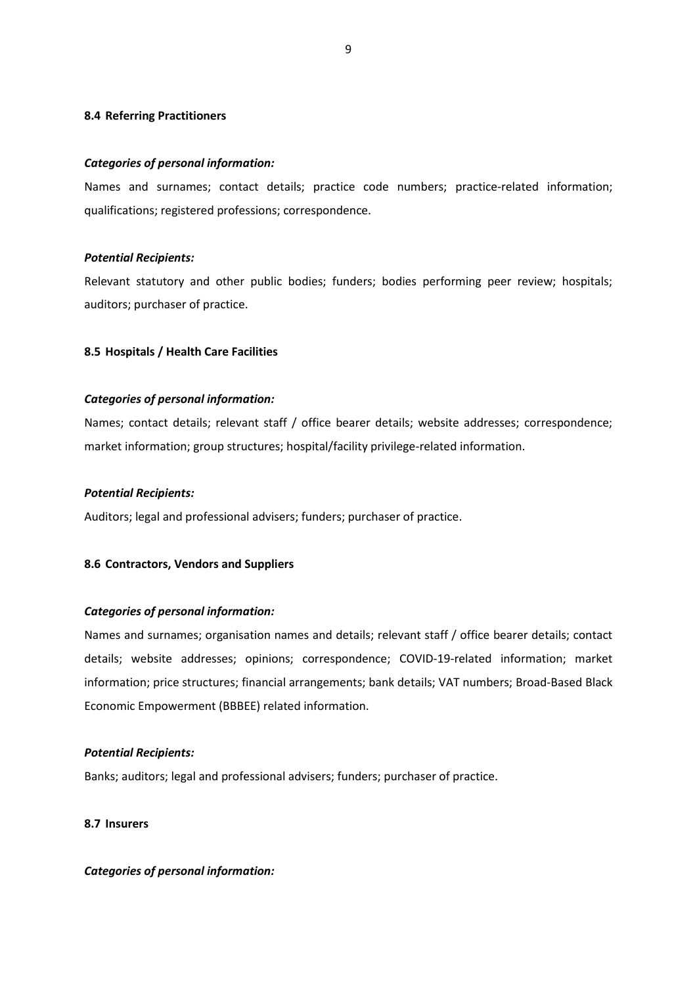## **8.4 Referring Practitioners**

#### *Categories of personal information:*

Names and surnames; contact details; practice code numbers; practice-related information; qualifications; registered professions; correspondence.

## *Potential Recipients:*

Relevant statutory and other public bodies; funders; bodies performing peer review; hospitals; auditors; purchaser of practice.

## **8.5 Hospitals / Health Care Facilities**

## *Categories of personal information:*

Names; contact details; relevant staff / office bearer details; website addresses; correspondence; market information; group structures; hospital/facility privilege-related information.

### *Potential Recipients:*

Auditors; legal and professional advisers; funders; purchaser of practice.

#### **8.6 Contractors, Vendors and Suppliers**

#### *Categories of personal information:*

Names and surnames; organisation names and details; relevant staff / office bearer details; contact details; website addresses; opinions; correspondence; COVID-19-related information; market information; price structures; financial arrangements; bank details; VAT numbers; Broad-Based Black Economic Empowerment (BBBEE) related information.

#### *Potential Recipients:*

Banks; auditors; legal and professional advisers; funders; purchaser of practice.

## **8.7 Insurers**

#### *Categories of personal information:*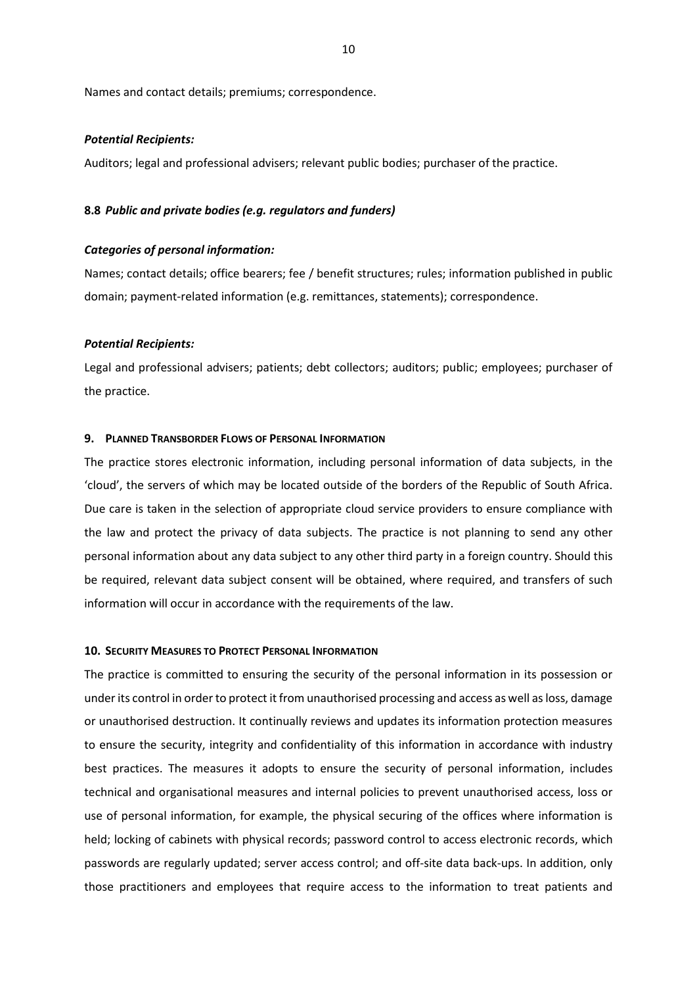Names and contact details; premiums; correspondence.

#### *Potential Recipients:*

Auditors; legal and professional advisers; relevant public bodies; purchaser of the practice.

#### **8.8** *Public and private bodies (e.g. regulators and funders)*

#### *Categories of personal information:*

Names; contact details; office bearers; fee / benefit structures; rules; information published in public domain; payment-related information (e.g. remittances, statements); correspondence.

#### *Potential Recipients:*

Legal and professional advisers; patients; debt collectors; auditors; public; employees; purchaser of the practice.

#### <span id="page-9-0"></span>**9. PLANNED TRANSBORDER FLOWS OF PERSONAL INFORMATION**

The practice stores electronic information, including personal information of data subjects, in the 'cloud', the servers of which may be located outside of the borders of the Republic of South Africa. Due care is taken in the selection of appropriate cloud service providers to ensure compliance with the law and protect the privacy of data subjects. The practice is not planning to send any other personal information about any data subject to any other third party in a foreign country. Should this be required, relevant data subject consent will be obtained, where required, and transfers of such information will occur in accordance with the requirements of the law.

#### <span id="page-9-1"></span>**10. SECURITY MEASURES TO PROTECT PERSONAL INFORMATION**

The practice is committed to ensuring the security of the personal information in its possession or under its control in order to protect it from unauthorised processing and access as well as loss, damage or unauthorised destruction. It continually reviews and updates its information protection measures to ensure the security, integrity and confidentiality of this information in accordance with industry best practices. The measures it adopts to ensure the security of personal information, includes technical and organisational measures and internal policies to prevent unauthorised access, loss or use of personal information, for example, the physical securing of the offices where information is held; locking of cabinets with physical records; password control to access electronic records, which passwords are regularly updated; server access control; and off-site data back-ups. In addition, only those practitioners and employees that require access to the information to treat patients and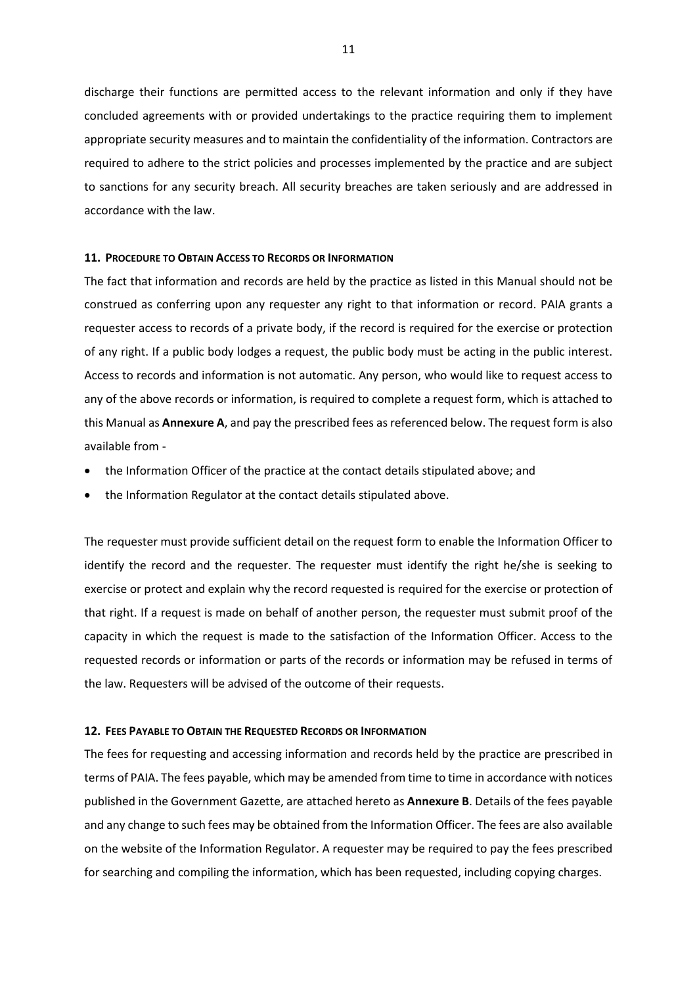discharge their functions are permitted access to the relevant information and only if they have concluded agreements with or provided undertakings to the practice requiring them to implement appropriate security measures and to maintain the confidentiality of the information. Contractors are required to adhere to the strict policies and processes implemented by the practice and are subject to sanctions for any security breach. All security breaches are taken seriously and are addressed in accordance with the law.

#### <span id="page-10-0"></span>**11. PROCEDURE TO OBTAIN ACCESS TO RECORDS OR INFORMATION**

The fact that information and records are held by the practice as listed in this Manual should not be construed as conferring upon any requester any right to that information or record. PAIA grants a requester access to records of a private body, if the record is required for the exercise or protection of any right. If a public body lodges a request, the public body must be acting in the public interest. Access to records and information is not automatic. Any person, who would like to request access to any of the above records or information, is required to complete a request form, which is attached to this Manual as **Annexure A**, and pay the prescribed fees as referenced below. The request form is also available from -

- the Information Officer of the practice at the contact details stipulated above; and
- the Information Regulator at the contact details stipulated above.

The requester must provide sufficient detail on the request form to enable the Information Officer to identify the record and the requester. The requester must identify the right he/she is seeking to exercise or protect and explain why the record requested is required for the exercise or protection of that right. If a request is made on behalf of another person, the requester must submit proof of the capacity in which the request is made to the satisfaction of the Information Officer. Access to the requested records or information or parts of the records or information may be refused in terms of the law. Requesters will be advised of the outcome of their requests.

#### <span id="page-10-1"></span>**12. FEES PAYABLE TO OBTAIN THE REQUESTED RECORDS OR INFORMATION**

The fees for requesting and accessing information and records held by the practice are prescribed in terms of PAIA. The fees payable, which may be amended from time to time in accordance with notices published in the Government Gazette, are attached hereto as **Annexure B**. Details of the fees payable and any change to such fees may be obtained from the Information Officer. The fees are also available on the website of the Information Regulator. A requester may be required to pay the fees prescribed for searching and compiling the information, which has been requested, including copying charges.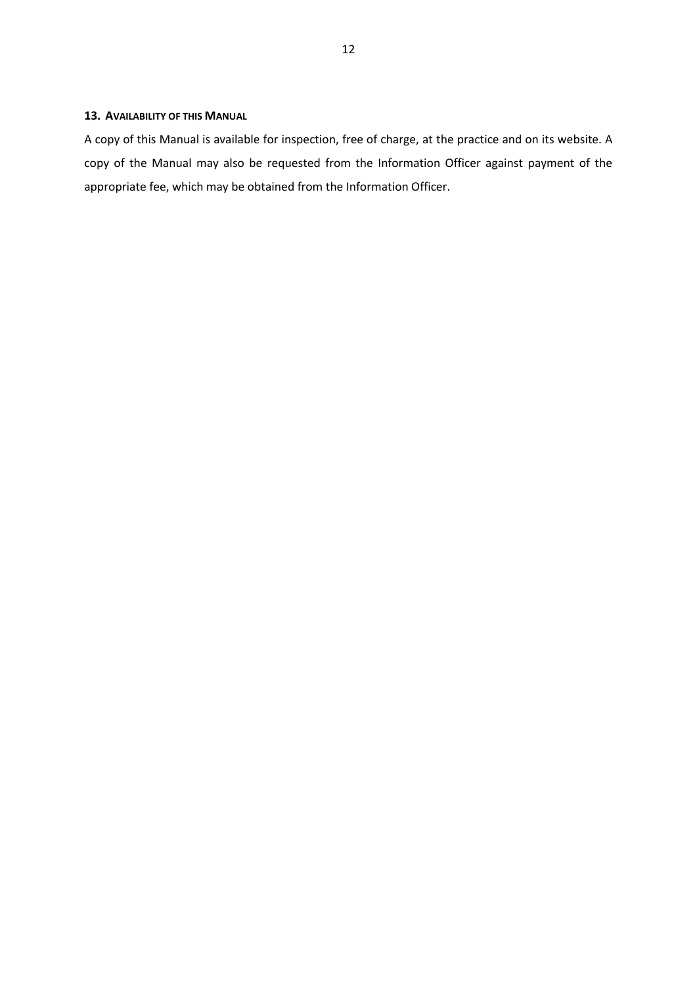## <span id="page-11-0"></span>**13. AVAILABILITY OF THIS MANUAL**

A copy of this Manual is available for inspection, free of charge, at the practice and on its website. A copy of the Manual may also be requested from the Information Officer against payment of the appropriate fee, which may be obtained from the Information Officer.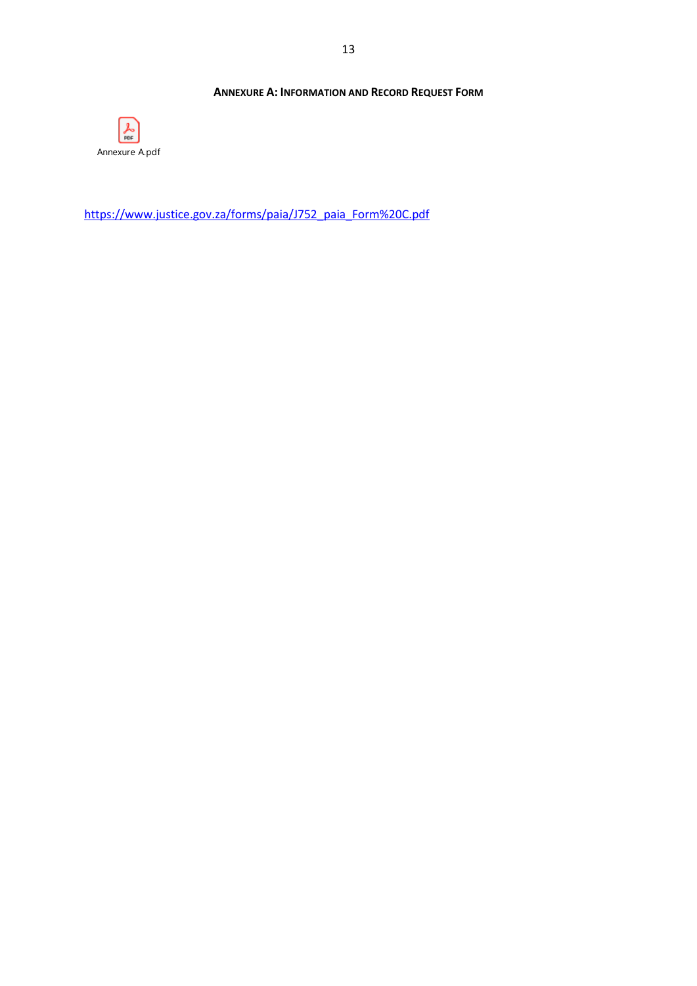## **ANNEXURE A: INFORMATION AND RECORD REQUEST FORM**

<span id="page-12-0"></span>

[https://www.justice.gov.za/forms/paia/J752\\_paia\\_Form%20C.pdf](https://www.justice.gov.za/forms/paia/J752_paia_Form%20C.pdf)